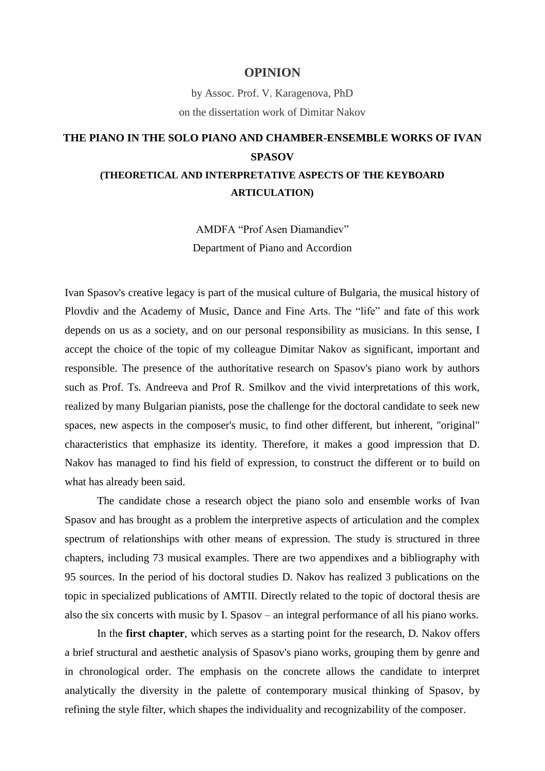## **OPINION**

by Assoc. Prof. V. Karagenova, PhD on the dissertation work of Dimitar Nakov

## **THE PIANO IN THE SOLO PIANO AND CHAMBER-ENSEMBLE WORKS OF IVAN SPASOV**

## **(THEORETICAL AND INTERPRETATIVE ASPECTS OF THE KEYBOARD ARTICULATION)**

AMDFA "Prof Asen Diamandiev" Department of Piano and Accordion

Ivan Spasov's creative legacy is part of the musical culture of Bulgaria, the musical history of Plovdiv and the Academy of Music, Dance and Fine Arts. The "life" and fate of this work depends on us as a society, and on our personal responsibility as musicians. In this sense, I accept the choice of the topic of my colleague Dimitar Nakov as significant, important and responsible. The presence of the authoritative research on Spasov's piano work by authors such as Prof. Ts. Andreeva and Prof R. Smilkov and the vivid interpretations of this work, realized by many Bulgarian pianists, pose the challenge for the doctoral candidate to seek new spaces, new aspects in the composer's music, to find other different, but inherent, "original" characteristics that emphasize its identity. Therefore, it makes a good impression that D. Nakov has managed to find his field of expression, to construct the different or to build on what has already been said.

The candidate chose a research object the piano solo and ensemble works of Ivan Spasov and has brought as a problem the interpretive aspects of articulation and the complex spectrum of relationships with other means of expression. The study is structured in three chapters, including 73 musical examples. There are two appendixes and a bibliography with 95 sources. In the period of his doctoral studies D. Nakov has realized 3 publications on the topic in specialized publications of AMTII. Directly related to the topic of doctoral thesis are also the six concerts with music by I. Spasov – an integral performance of all his piano works.

In the **first chapter**, which serves as a starting point for the research, D. Nakov offers a brief structural and aesthetic analysis of Spasov's piano works, grouping them by genre and in chronological order. The emphasis on the concrete allows the candidate to interpret analytically the diversity in the palette of contemporary musical thinking of Spasov, by refining the style filter, which shapes the individuality and recognizability of the composer.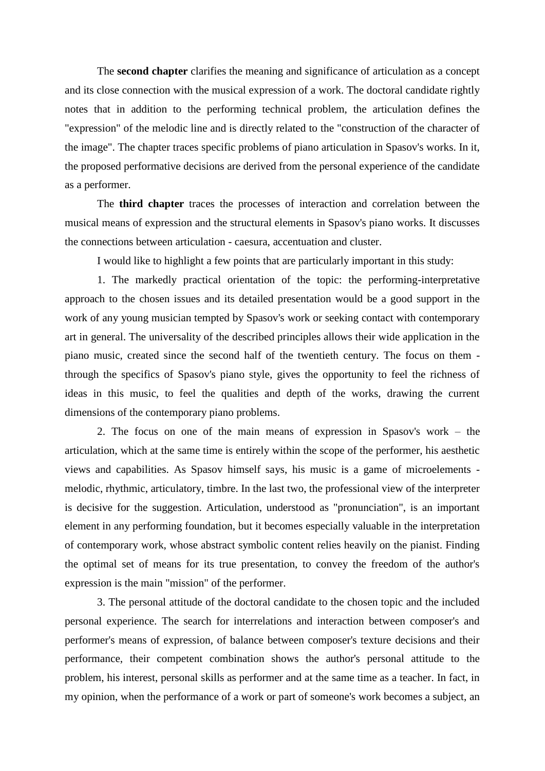The **second chapter** clarifies the meaning and significance of articulation as a concept and its close connection with the musical expression of a work. The doctoral candidate rightly notes that in addition to the performing technical problem, the articulation defines the "expression" of the melodic line and is directly related to the "construction of the character of the image". The chapter traces specific problems of piano articulation in Spasov's works. In it, the proposed performative decisions are derived from the personal experience of the candidate as a performer.

The **third chapter** traces the processes of interaction and correlation between the musical means of expression and the structural elements in Spasov's piano works. It discusses the connections between articulation - caesura, accentuation and cluster.

I would like to highlight a few points that are particularly important in this study:

1. The markedly practical orientation of the topic: the performing-interpretative approach to the chosen issues and its detailed presentation would be a good support in the work of any young musician tempted by Spasov's work or seeking contact with contemporary art in general. The universality of the described principles allows their wide application in the piano music, created since the second half of the twentieth century. The focus on them through the specifics of Spasov's piano style, gives the opportunity to feel the richness of ideas in this music, to feel the qualities and depth of the works, drawing the current dimensions of the contemporary piano problems.

2. The focus on one of the main means of expression in Spasov's work – the articulation, which at the same time is entirely within the scope of the performer, his aesthetic views and capabilities. As Spasov himself says, his music is a game of microelements melodic, rhythmic, articulatory, timbre. In the last two, the professional view of the interpreter is decisive for the suggestion. Articulation, understood as "pronunciation", is an important element in any performing foundation, but it becomes especially valuable in the interpretation of contemporary work, whose abstract symbolic content relies heavily on the pianist. Finding the optimal set of means for its true presentation, to convey the freedom of the author's expression is the main "mission" of the performer.

3. The personal attitude of the doctoral candidate to the chosen topic and the included personal experience. The search for interrelations and interaction between composer's and performer's means of expression, of balance between composer's texture decisions and their performance, their competent combination shows the author's personal attitude to the problem, his interest, personal skills as performer and at the same time as a teacher. In fact, in my opinion, when the performance of a work or part of someone's work becomes a subject, an